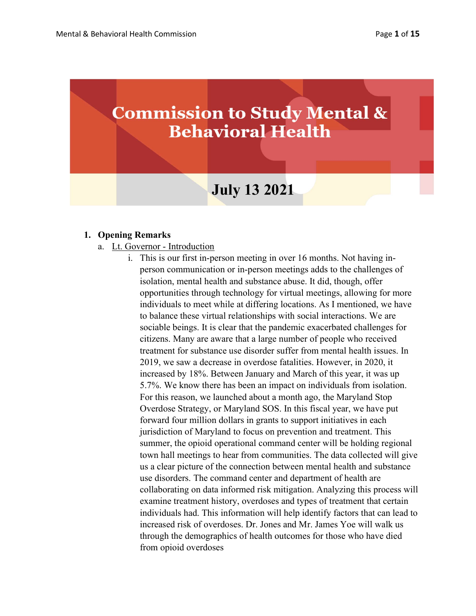# **Commission to Study Mental & Behavioral Health**

## July 13 2021

#### 1. Opening Remarks

- a. Lt. Governor Introduction
	- i. This is our first in-person meeting in over 16 months. Not having inperson communication or in-person meetings adds to the challenges of isolation, mental health and substance abuse. It did, though, offer opportunities through technology for virtual meetings, allowing for more individuals to meet while at differing locations. As I mentioned, we have to balance these virtual relationships with social interactions. We are sociable beings. It is clear that the pandemic exacerbated challenges for citizens. Many are aware that a large number of people who received treatment for substance use disorder suffer from mental health issues. In 2019, we saw a decrease in overdose fatalities. However, in 2020, it increased by 18%. Between January and March of this year, it was up 5.7%. We know there has been an impact on individuals from isolation. For this reason, we launched about a month ago, the Maryland Stop Overdose Strategy, or Maryland SOS. In this fiscal year, we have put forward four million dollars in grants to support initiatives in each jurisdiction of Maryland to focus on prevention and treatment. This summer, the opioid operational command center will be holding regional town hall meetings to hear from communities. The data collected will give us a clear picture of the connection between mental health and substance use disorders. The command center and department of health are collaborating on data informed risk mitigation. Analyzing this process will examine treatment history, overdoses and types of treatment that certain individuals had. This information will help identify factors that can lead to increased risk of overdoses. Dr. Jones and Mr. James Yoe will walk us through the demographics of health outcomes for those who have died from opioid overdoses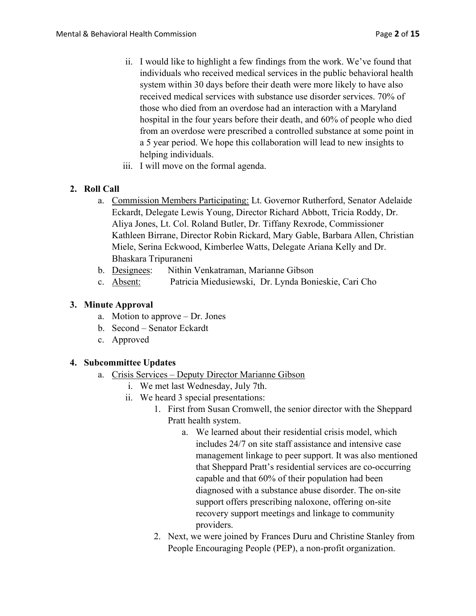- ii. I would like to highlight a few findings from the work. We've found that individuals who received medical services in the public behavioral health system within 30 days before their death were more likely to have also received medical services with substance use disorder services. 70% of those who died from an overdose had an interaction with a Maryland hospital in the four years before their death, and 60% of people who died from an overdose were prescribed a controlled substance at some point in a 5 year period. We hope this collaboration will lead to new insights to helping individuals.
- iii. I will move on the formal agenda.

## 2. Roll Call

- a. Commission Members Participating: Lt. Governor Rutherford, Senator Adelaide Eckardt, Delegate Lewis Young, Director Richard Abbott, Tricia Roddy, Dr. Aliya Jones, Lt. Col. Roland Butler, Dr. Tiffany Rexrode, Commissioner Kathleen Birrane, Director Robin Rickard, Mary Gable, Barbara Allen, Christian Miele, Serina Eckwood, Kimberlee Watts, Delegate Ariana Kelly and Dr. Bhaskara Tripuraneni
- b. Designees: Nithin Venkatraman, Marianne Gibson
- c. Absent: Patricia Miedusiewski, Dr. Lynda Bonieskie, Cari Cho

## 3. Minute Approval

- a. Motion to approve Dr. Jones
- b. Second Senator Eckardt
- c. Approved

## 4. Subcommittee Updates

- a. Crisis Services Deputy Director Marianne Gibson
	- i. We met last Wednesday, July 7th.
	- ii. We heard 3 special presentations:
		- 1. First from Susan Cromwell, the senior director with the Sheppard Pratt health system.
			- a. We learned about their residential crisis model, which includes 24/7 on site staff assistance and intensive case management linkage to peer support. It was also mentioned that Sheppard Pratt's residential services are co-occurring capable and that 60% of their population had been diagnosed with a substance abuse disorder. The on-site support offers prescribing naloxone, offering on-site recovery support meetings and linkage to community providers.
		- 2. Next, we were joined by Frances Duru and Christine Stanley from People Encouraging People (PEP), a non-profit organization.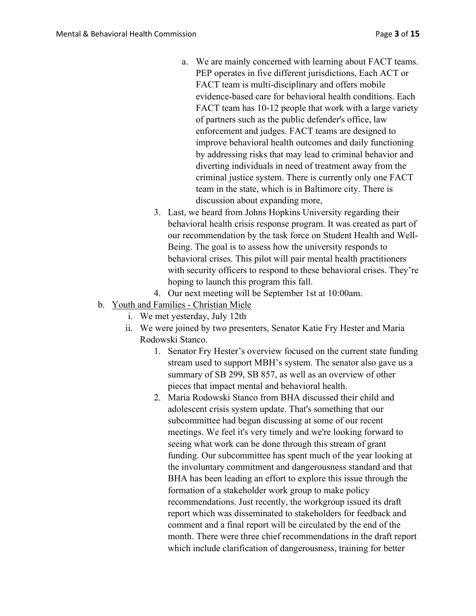- a. We are mainly concerned with learning about FACT teams. PEP operates in five different jurisdictions, Each ACT or FACT team is multi-disciplinary and offers mobile evidence-based care for behavioral health conditions. Each FACT team has 10-12 people that work with a large variety of partners such as the public defender's office, law enforcement and judges. FACT teams are designed to improve behavioral health outcomes and daily functioning by addressing risks that may lead to criminal behavior and diverting individuals in need of treatment away from the criminal justice system. There is currently only one FACT team in the state, which is in Baltimore city. There is discussion about expanding more,
- 3. Last, we heard from Johns Hopkins University regarding their behavioral health crisis response program. It was created as part of our recommendation by the task force on Student Health and Well-Being. The goal is to assess how the university responds to behavioral crises. This pilot will pair mental health practitioners with security officers to respond to these behavioral crises. They're hoping to launch this program this fall.
- 4. Our next meeting will be September 1st at 10:00am.
- b. Youth and Families Christian Miele
	- i. We met yesterday, July 12th
	- ii. We were joined by two presenters, Senator Katie Fry Hester and Maria Rodowski Stanco.
		- 1. Senator Fry Hester's overview focused on the current state funding stream used to support MBH's system. The senator also gave us a summary of SB 299, SB 857, as well as an overview of other pieces that impact mental and behavioral health.
		- 2. Maria Rodowski Stanco from BHA discussed their child and adolescent crisis system update. That's something that our subcommittee had begun discussing at some of our recent meetings. We feel it's very timely and we're looking forward to seeing what work can be done through this stream of grant funding. Our subcommittee has spent much of the year looking at the involuntary commitment and dangerousness standard and that BHA has been leading an effort to explore this issue through the formation of a stakeholder work group to make policy recommendations. Just recently, the workgroup issued its draft report which was disseminated to stakeholders for feedback and comment and a final report will be circulated by the end of the month. There were three chief recommendations in the draft report which include clarification of dangerousness, training for better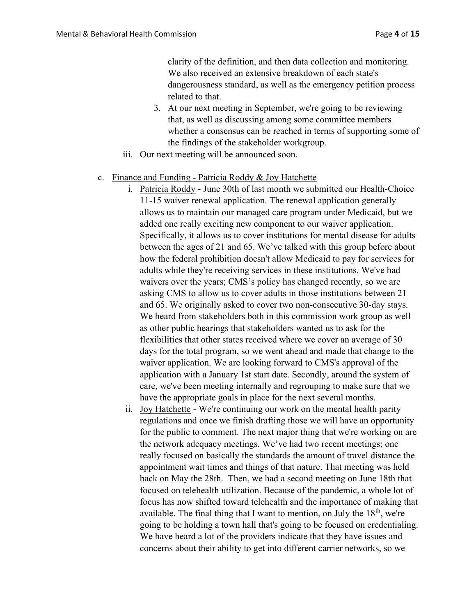clarity of the definition, and then data collection and monitoring. We also received an extensive breakdown of each state's dangerousness standard, as well as the emergency petition process related to that.

- 3. At our next meeting in September, we're going to be reviewing that, as well as discussing among some committee members whether a consensus can be reached in terms of supporting some of the findings of the stakeholder workgroup.
- iii. Our next meeting will be announced soon.

#### c. Finance and Funding - Patricia Roddy & Joy Hatchette

- i. Patricia Roddy June 30th of last month we submitted our Health-Choice 11-15 waiver renewal application. The renewal application generally allows us to maintain our managed care program under Medicaid, but we added one really exciting new component to our waiver application. Specifically, it allows us to cover institutions for mental disease for adults between the ages of 21 and 65. We've talked with this group before about how the federal prohibition doesn't allow Medicaid to pay for services for adults while they're receiving services in these institutions. We've had waivers over the years; CMS's policy has changed recently, so we are asking CMS to allow us to cover adults in those institutions between 21 and 65. We originally asked to cover two non-consecutive 30-day stays. We heard from stakeholders both in this commission work group as well as other public hearings that stakeholders wanted us to ask for the flexibilities that other states received where we cover an average of 30 days for the total program, so we went ahead and made that change to the waiver application. We are looking forward to CMS's approval of the application with a January 1st start date. Secondly, around the system of care, we've been meeting internally and regrouping to make sure that we have the appropriate goals in place for the next several months.
- ii. Joy Hatchette We're continuing our work on the mental health parity regulations and once we finish drafting those we will have an opportunity for the public to comment. The next major thing that we're working on are the network adequacy meetings. We've had two recent meetings; one really focused on basically the standards the amount of travel distance the appointment wait times and things of that nature. That meeting was held back on May the 28th. Then, we had a second meeting on June 18th that focused on telehealth utilization. Because of the pandemic, a whole lot of focus has now shifted toward telehealth and the importance of making that available. The final thing that I want to mention, on July the  $18<sup>th</sup>$ , we're going to be holding a town hall that's going to be focused on credentialing. We have heard a lot of the providers indicate that they have issues and concerns about their ability to get into different carrier networks, so we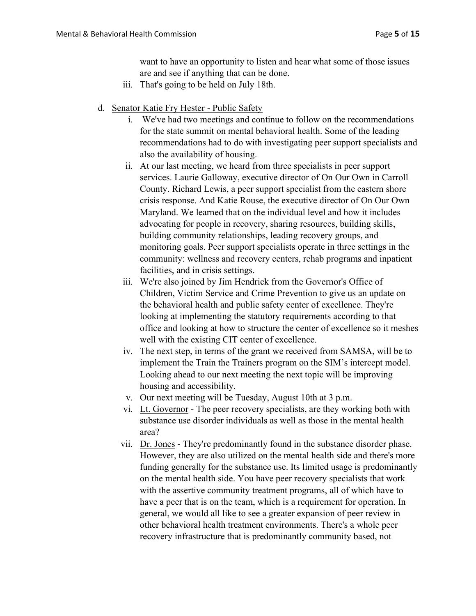want to have an opportunity to listen and hear what some of those issues are and see if anything that can be done.

- iii. That's going to be held on July 18th.
- d. Senator Katie Fry Hester Public Safety
	- i. We've had two meetings and continue to follow on the recommendations for the state summit on mental behavioral health. Some of the leading recommendations had to do with investigating peer support specialists and also the availability of housing.
	- ii. At our last meeting, we heard from three specialists in peer support services. Laurie Galloway, executive director of On Our Own in Carroll County. Richard Lewis, a peer support specialist from the eastern shore crisis response. And Katie Rouse, the executive director of On Our Own Maryland. We learned that on the individual level and how it includes advocating for people in recovery, sharing resources, building skills, building community relationships, leading recovery groups, and monitoring goals. Peer support specialists operate in three settings in the community: wellness and recovery centers, rehab programs and inpatient facilities, and in crisis settings.
	- iii. We're also joined by Jim Hendrick from the Governor's Office of Children, Victim Service and Crime Prevention to give us an update on the behavioral health and public safety center of excellence. They're looking at implementing the statutory requirements according to that office and looking at how to structure the center of excellence so it meshes well with the existing CIT center of excellence.
	- iv. The next step, in terms of the grant we received from SAMSA, will be to implement the Train the Trainers program on the SIM's intercept model. Looking ahead to our next meeting the next topic will be improving housing and accessibility.
	- v. Our next meeting will be Tuesday, August 10th at 3 p.m.
	- vi. Lt. Governor The peer recovery specialists, are they working both with substance use disorder individuals as well as those in the mental health area?
	- vii. Dr. Jones They're predominantly found in the substance disorder phase. However, they are also utilized on the mental health side and there's more funding generally for the substance use. Its limited usage is predominantly on the mental health side. You have peer recovery specialists that work with the assertive community treatment programs, all of which have to have a peer that is on the team, which is a requirement for operation. In general, we would all like to see a greater expansion of peer review in other behavioral health treatment environments. There's a whole peer recovery infrastructure that is predominantly community based, not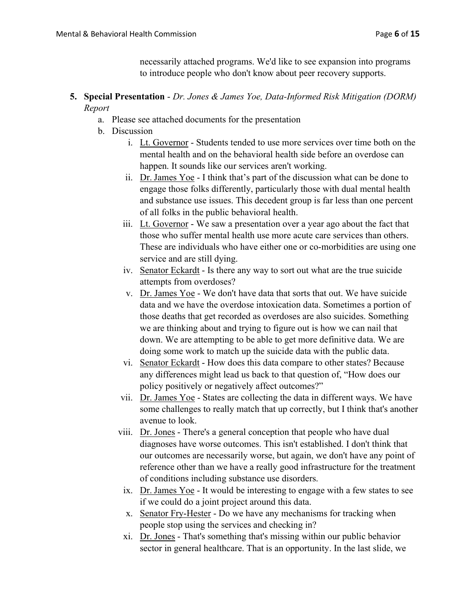necessarily attached programs. We'd like to see expansion into programs to introduce people who don't know about peer recovery supports.

### 5. Special Presentation - Dr. Jones & James Yoe, Data-Informed Risk Mitigation (DORM) Report

- a. Please see attached documents for the presentation
- b. Discussion
	- i. Lt. Governor Students tended to use more services over time both on the mental health and on the behavioral health side before an overdose can happen. It sounds like our services aren't working.
	- ii. Dr. James Yoe I think that's part of the discussion what can be done to engage those folks differently, particularly those with dual mental health and substance use issues. This decedent group is far less than one percent of all folks in the public behavioral health.
	- iii. Lt. Governor We saw a presentation over a year ago about the fact that those who suffer mental health use more acute care services than others. These are individuals who have either one or co-morbidities are using one service and are still dying.
	- iv. Senator Eckardt Is there any way to sort out what are the true suicide attempts from overdoses?
	- v. Dr. James Yoe We don't have data that sorts that out. We have suicide data and we have the overdose intoxication data. Sometimes a portion of those deaths that get recorded as overdoses are also suicides. Something we are thinking about and trying to figure out is how we can nail that down. We are attempting to be able to get more definitive data. We are doing some work to match up the suicide data with the public data.
	- vi. Senator Eckardt How does this data compare to other states? Because any differences might lead us back to that question of, "How does our policy positively or negatively affect outcomes?"
	- vii. Dr. James Yoe States are collecting the data in different ways. We have some challenges to really match that up correctly, but I think that's another avenue to look.
	- viii. Dr. Jones There's a general conception that people who have dual diagnoses have worse outcomes. This isn't established. I don't think that our outcomes are necessarily worse, but again, we don't have any point of reference other than we have a really good infrastructure for the treatment of conditions including substance use disorders.
		- ix. Dr. James Yoe It would be interesting to engage with a few states to see if we could do a joint project around this data.
		- x. Senator Fry-Hester Do we have any mechanisms for tracking when people stop using the services and checking in?
		- xi. Dr. Jones That's something that's missing within our public behavior sector in general healthcare. That is an opportunity. In the last slide, we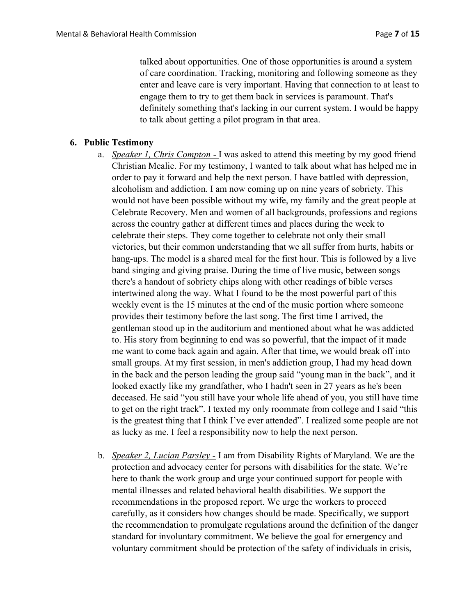talked about opportunities. One of those opportunities is around a system of care coordination. Tracking, monitoring and following someone as they enter and leave care is very important. Having that connection to at least to engage them to try to get them back in services is paramount. That's definitely something that's lacking in our current system. I would be happy to talk about getting a pilot program in that area.

#### 6. Public Testimony

- a. *Speaker 1, Chris Compton* I was asked to attend this meeting by my good friend Christian Mealie. For my testimony, I wanted to talk about what has helped me in order to pay it forward and help the next person. I have battled with depression, alcoholism and addiction. I am now coming up on nine years of sobriety. This would not have been possible without my wife, my family and the great people at Celebrate Recovery. Men and women of all backgrounds, professions and regions across the country gather at different times and places during the week to celebrate their steps. They come together to celebrate not only their small victories, but their common understanding that we all suffer from hurts, habits or hang-ups. The model is a shared meal for the first hour. This is followed by a live band singing and giving praise. During the time of live music, between songs there's a handout of sobriety chips along with other readings of bible verses intertwined along the way. What I found to be the most powerful part of this weekly event is the 15 minutes at the end of the music portion where someone provides their testimony before the last song. The first time I arrived, the gentleman stood up in the auditorium and mentioned about what he was addicted to. His story from beginning to end was so powerful, that the impact of it made me want to come back again and again. After that time, we would break off into small groups. At my first session, in men's addiction group, I had my head down in the back and the person leading the group said "young man in the back", and it looked exactly like my grandfather, who I hadn't seen in 27 years as he's been deceased. He said "you still have your whole life ahead of you, you still have time to get on the right track". I texted my only roommate from college and I said "this is the greatest thing that I think I've ever attended". I realized some people are not as lucky as me. I feel a responsibility now to help the next person.
- b. *Speaker 2, Lucian Parsley* I am from Disability Rights of Maryland. We are the protection and advocacy center for persons with disabilities for the state. We're here to thank the work group and urge your continued support for people with mental illnesses and related behavioral health disabilities. We support the recommendations in the proposed report. We urge the workers to proceed carefully, as it considers how changes should be made. Specifically, we support the recommendation to promulgate regulations around the definition of the danger standard for involuntary commitment. We believe the goal for emergency and voluntary commitment should be protection of the safety of individuals in crisis,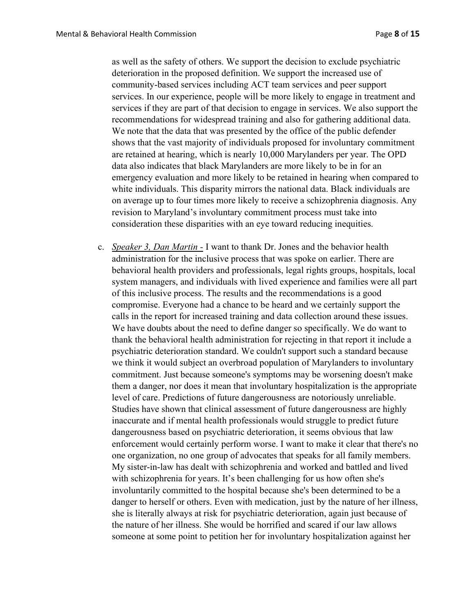as well as the safety of others. We support the decision to exclude psychiatric deterioration in the proposed definition. We support the increased use of community-based services including ACT team services and peer support services. In our experience, people will be more likely to engage in treatment and services if they are part of that decision to engage in services. We also support the recommendations for widespread training and also for gathering additional data. We note that the data that was presented by the office of the public defender shows that the vast majority of individuals proposed for involuntary commitment are retained at hearing, which is nearly 10,000 Marylanders per year. The OPD data also indicates that black Marylanders are more likely to be in for an emergency evaluation and more likely to be retained in hearing when compared to white individuals. This disparity mirrors the national data. Black individuals are on average up to four times more likely to receive a schizophrenia diagnosis. Any revision to Maryland's involuntary commitment process must take into consideration these disparities with an eye toward reducing inequities.

c. Speaker 3, Dan Martin - I want to thank Dr. Jones and the behavior health administration for the inclusive process that was spoke on earlier. There are behavioral health providers and professionals, legal rights groups, hospitals, local system managers, and individuals with lived experience and families were all part of this inclusive process. The results and the recommendations is a good compromise. Everyone had a chance to be heard and we certainly support the calls in the report for increased training and data collection around these issues. We have doubts about the need to define danger so specifically. We do want to thank the behavioral health administration for rejecting in that report it include a psychiatric deterioration standard. We couldn't support such a standard because we think it would subject an overbroad population of Marylanders to involuntary commitment. Just because someone's symptoms may be worsening doesn't make them a danger, nor does it mean that involuntary hospitalization is the appropriate level of care. Predictions of future dangerousness are notoriously unreliable. Studies have shown that clinical assessment of future dangerousness are highly inaccurate and if mental health professionals would struggle to predict future dangerousness based on psychiatric deterioration, it seems obvious that law enforcement would certainly perform worse. I want to make it clear that there's no one organization, no one group of advocates that speaks for all family members. My sister-in-law has dealt with schizophrenia and worked and battled and lived with schizophrenia for years. It's been challenging for us how often she's involuntarily committed to the hospital because she's been determined to be a danger to herself or others. Even with medication, just by the nature of her illness, she is literally always at risk for psychiatric deterioration, again just because of the nature of her illness. She would be horrified and scared if our law allows someone at some point to petition her for involuntary hospitalization against her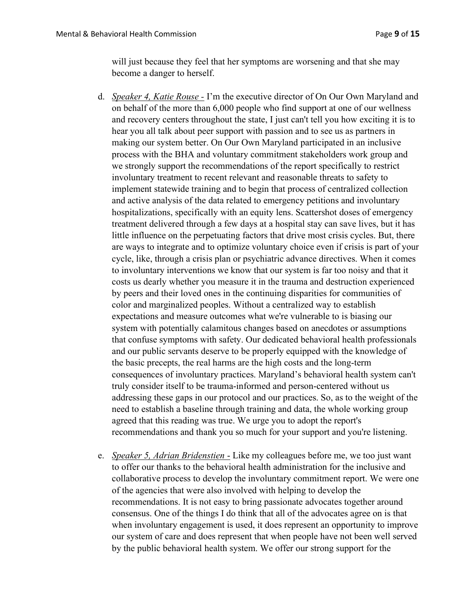will just because they feel that her symptoms are worsening and that she may become a danger to herself.

- d. Speaker 4, Katie Rouse I'm the executive director of On Our Own Maryland and on behalf of the more than 6,000 people who find support at one of our wellness and recovery centers throughout the state, I just can't tell you how exciting it is to hear you all talk about peer support with passion and to see us as partners in making our system better. On Our Own Maryland participated in an inclusive process with the BHA and voluntary commitment stakeholders work group and we strongly support the recommendations of the report specifically to restrict involuntary treatment to recent relevant and reasonable threats to safety to implement statewide training and to begin that process of centralized collection and active analysis of the data related to emergency petitions and involuntary hospitalizations, specifically with an equity lens. Scattershot doses of emergency treatment delivered through a few days at a hospital stay can save lives, but it has little influence on the perpetuating factors that drive most crisis cycles. But, there are ways to integrate and to optimize voluntary choice even if crisis is part of your cycle, like, through a crisis plan or psychiatric advance directives. When it comes to involuntary interventions we know that our system is far too noisy and that it costs us dearly whether you measure it in the trauma and destruction experienced by peers and their loved ones in the continuing disparities for communities of color and marginalized peoples. Without a centralized way to establish expectations and measure outcomes what we're vulnerable to is biasing our system with potentially calamitous changes based on anecdotes or assumptions that confuse symptoms with safety. Our dedicated behavioral health professionals and our public servants deserve to be properly equipped with the knowledge of the basic precepts, the real harms are the high costs and the long-term consequences of involuntary practices. Maryland's behavioral health system can't truly consider itself to be trauma-informed and person-centered without us addressing these gaps in our protocol and our practices. So, as to the weight of the need to establish a baseline through training and data, the whole working group agreed that this reading was true. We urge you to adopt the report's recommendations and thank you so much for your support and you're listening.
- e. *Speaker 5, Adrian Bridenstien* Like my colleagues before me, we too just want to offer our thanks to the behavioral health administration for the inclusive and collaborative process to develop the involuntary commitment report. We were one of the agencies that were also involved with helping to develop the recommendations. It is not easy to bring passionate advocates together around consensus. One of the things I do think that all of the advocates agree on is that when involuntary engagement is used, it does represent an opportunity to improve our system of care and does represent that when people have not been well served by the public behavioral health system. We offer our strong support for the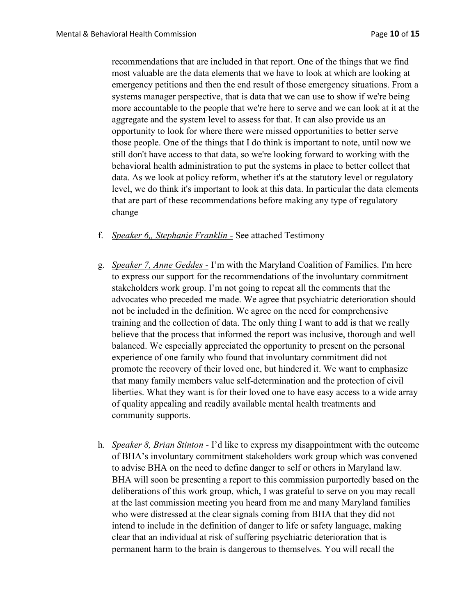recommendations that are included in that report. One of the things that we find most valuable are the data elements that we have to look at which are looking at emergency petitions and then the end result of those emergency situations. From a systems manager perspective, that is data that we can use to show if we're being more accountable to the people that we're here to serve and we can look at it at the aggregate and the system level to assess for that. It can also provide us an opportunity to look for where there were missed opportunities to better serve those people. One of the things that I do think is important to note, until now we still don't have access to that data, so we're looking forward to working with the behavioral health administration to put the systems in place to better collect that data. As we look at policy reform, whether it's at the statutory level or regulatory level, we do think it's important to look at this data. In particular the data elements that are part of these recommendations before making any type of regulatory change

- f. Speaker 6,, Stephanie Franklin See attached Testimony
- g. Speaker 7, Anne Geddes I'm with the Maryland Coalition of Families. I'm here to express our support for the recommendations of the involuntary commitment stakeholders work group. I'm not going to repeat all the comments that the advocates who preceded me made. We agree that psychiatric deterioration should not be included in the definition. We agree on the need for comprehensive training and the collection of data. The only thing I want to add is that we really believe that the process that informed the report was inclusive, thorough and well balanced. We especially appreciated the opportunity to present on the personal experience of one family who found that involuntary commitment did not promote the recovery of their loved one, but hindered it. We want to emphasize that many family members value self-determination and the protection of civil liberties. What they want is for their loved one to have easy access to a wide array of quality appealing and readily available mental health treatments and community supports.
- h. Speaker 8, Brian Stinton I'd like to express my disappointment with the outcome of BHA's involuntary commitment stakeholders work group which was convened to advise BHA on the need to define danger to self or others in Maryland law. BHA will soon be presenting a report to this commission purportedly based on the deliberations of this work group, which, I was grateful to serve on you may recall at the last commission meeting you heard from me and many Maryland families who were distressed at the clear signals coming from BHA that they did not intend to include in the definition of danger to life or safety language, making clear that an individual at risk of suffering psychiatric deterioration that is permanent harm to the brain is dangerous to themselves. You will recall the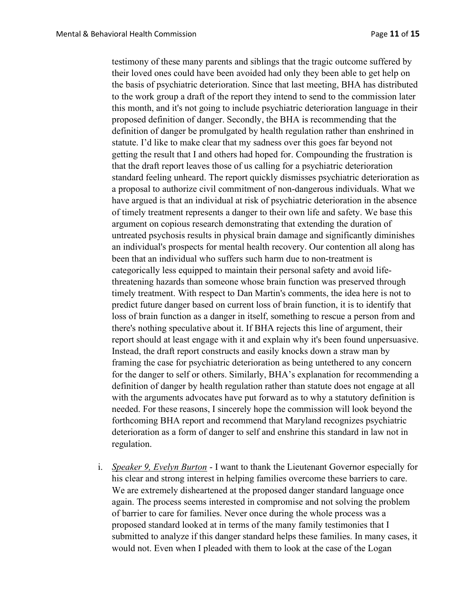testimony of these many parents and siblings that the tragic outcome suffered by their loved ones could have been avoided had only they been able to get help on the basis of psychiatric deterioration. Since that last meeting, BHA has distributed to the work group a draft of the report they intend to send to the commission later this month, and it's not going to include psychiatric deterioration language in their proposed definition of danger. Secondly, the BHA is recommending that the definition of danger be promulgated by health regulation rather than enshrined in statute. I'd like to make clear that my sadness over this goes far beyond not getting the result that I and others had hoped for. Compounding the frustration is that the draft report leaves those of us calling for a psychiatric deterioration standard feeling unheard. The report quickly dismisses psychiatric deterioration as a proposal to authorize civil commitment of non-dangerous individuals. What we have argued is that an individual at risk of psychiatric deterioration in the absence of timely treatment represents a danger to their own life and safety. We base this argument on copious research demonstrating that extending the duration of untreated psychosis results in physical brain damage and significantly diminishes an individual's prospects for mental health recovery. Our contention all along has been that an individual who suffers such harm due to non-treatment is categorically less equipped to maintain their personal safety and avoid lifethreatening hazards than someone whose brain function was preserved through timely treatment. With respect to Dan Martin's comments, the idea here is not to predict future danger based on current loss of brain function, it is to identify that loss of brain function as a danger in itself, something to rescue a person from and there's nothing speculative about it. If BHA rejects this line of argument, their report should at least engage with it and explain why it's been found unpersuasive. Instead, the draft report constructs and easily knocks down a straw man by framing the case for psychiatric deterioration as being untethered to any concern for the danger to self or others. Similarly, BHA's explanation for recommending a definition of danger by health regulation rather than statute does not engage at all with the arguments advocates have put forward as to why a statutory definition is needed. For these reasons, I sincerely hope the commission will look beyond the forthcoming BHA report and recommend that Maryland recognizes psychiatric deterioration as a form of danger to self and enshrine this standard in law not in regulation.

i. Speaker 9, Evelyn Burton - I want to thank the Lieutenant Governor especially for his clear and strong interest in helping families overcome these barriers to care. We are extremely disheartened at the proposed danger standard language once again. The process seems interested in compromise and not solving the problem of barrier to care for families. Never once during the whole process was a proposed standard looked at in terms of the many family testimonies that I submitted to analyze if this danger standard helps these families. In many cases, it would not. Even when I pleaded with them to look at the case of the Logan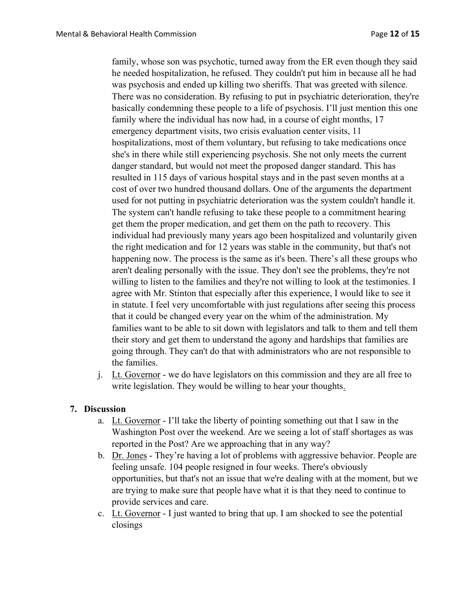family, whose son was psychotic, turned away from the ER even though they said he needed hospitalization, he refused. They couldn't put him in because all he had was psychosis and ended up killing two sheriffs. That was greeted with silence. There was no consideration. By refusing to put in psychiatric deterioration, they're basically condemning these people to a life of psychosis. I'll just mention this one family where the individual has now had, in a course of eight months, 17 emergency department visits, two crisis evaluation center visits, 11 hospitalizations, most of them voluntary, but refusing to take medications once she's in there while still experiencing psychosis. She not only meets the current danger standard, but would not meet the proposed danger standard. This has resulted in 115 days of various hospital stays and in the past seven months at a cost of over two hundred thousand dollars. One of the arguments the department used for not putting in psychiatric deterioration was the system couldn't handle it. The system can't handle refusing to take these people to a commitment hearing get them the proper medication, and get them on the path to recovery. This individual had previously many years ago been hospitalized and voluntarily given the right medication and for 12 years was stable in the community, but that's not happening now. The process is the same as it's been. There's all these groups who aren't dealing personally with the issue. They don't see the problems, they're not willing to listen to the families and they're not willing to look at the testimonies. I agree with Mr. Stinton that especially after this experience, I would like to see it in statute. I feel very uncomfortable with just regulations after seeing this process that it could be changed every year on the whim of the administration. My families want to be able to sit down with legislators and talk to them and tell them their story and get them to understand the agony and hardships that families are going through. They can't do that with administrators who are not responsible to the families.

j. Lt. Governor - we do have legislators on this commission and they are all free to write legislation. They would be willing to hear your thoughts.

#### 7. Discussion

- a. Lt. Governor I'll take the liberty of pointing something out that I saw in the Washington Post over the weekend. Are we seeing a lot of staff shortages as was reported in the Post? Are we approaching that in any way?
- b. Dr. Jones They're having a lot of problems with aggressive behavior. People are feeling unsafe. 104 people resigned in four weeks. There's obviously opportunities, but that's not an issue that we're dealing with at the moment, but we are trying to make sure that people have what it is that they need to continue to provide services and care.
- c. Lt. Governor I just wanted to bring that up. I am shocked to see the potential closings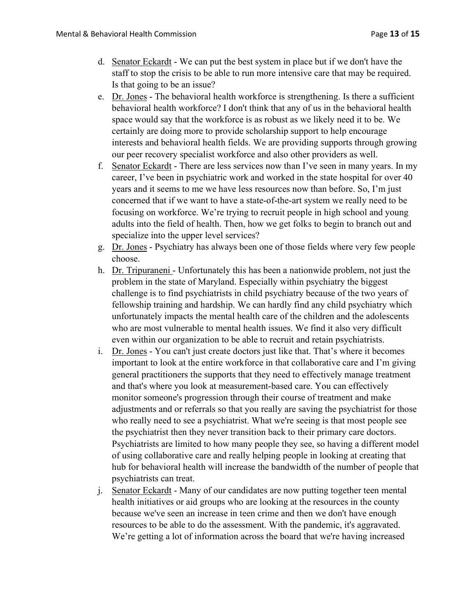- d. Senator Eckardt We can put the best system in place but if we don't have the staff to stop the crisis to be able to run more intensive care that may be required. Is that going to be an issue?
- e. Dr. Jones The behavioral health workforce is strengthening. Is there a sufficient behavioral health workforce? I don't think that any of us in the behavioral health space would say that the workforce is as robust as we likely need it to be. We certainly are doing more to provide scholarship support to help encourage interests and behavioral health fields. We are providing supports through growing our peer recovery specialist workforce and also other providers as well.
- f. Senator Eckardt There are less services now than I've seen in many years. In my career, I've been in psychiatric work and worked in the state hospital for over 40 years and it seems to me we have less resources now than before. So, I'm just concerned that if we want to have a state-of-the-art system we really need to be focusing on workforce. We're trying to recruit people in high school and young adults into the field of health. Then, how we get folks to begin to branch out and specialize into the upper level services?
- g. Dr. Jones Psychiatry has always been one of those fields where very few people choose.
- h. Dr. Tripuraneni Unfortunately this has been a nationwide problem, not just the problem in the state of Maryland. Especially within psychiatry the biggest challenge is to find psychiatrists in child psychiatry because of the two years of fellowship training and hardship. We can hardly find any child psychiatry which unfortunately impacts the mental health care of the children and the adolescents who are most vulnerable to mental health issues. We find it also very difficult even within our organization to be able to recruit and retain psychiatrists.
- i. Dr. Jones You can't just create doctors just like that. That's where it becomes important to look at the entire workforce in that collaborative care and I'm giving general practitioners the supports that they need to effectively manage treatment and that's where you look at measurement-based care. You can effectively monitor someone's progression through their course of treatment and make adjustments and or referrals so that you really are saving the psychiatrist for those who really need to see a psychiatrist. What we're seeing is that most people see the psychiatrist then they never transition back to their primary care doctors. Psychiatrists are limited to how many people they see, so having a different model of using collaborative care and really helping people in looking at creating that hub for behavioral health will increase the bandwidth of the number of people that psychiatrists can treat.
- j. Senator Eckardt Many of our candidates are now putting together teen mental health initiatives or aid groups who are looking at the resources in the county because we've seen an increase in teen crime and then we don't have enough resources to be able to do the assessment. With the pandemic, it's aggravated. We're getting a lot of information across the board that we're having increased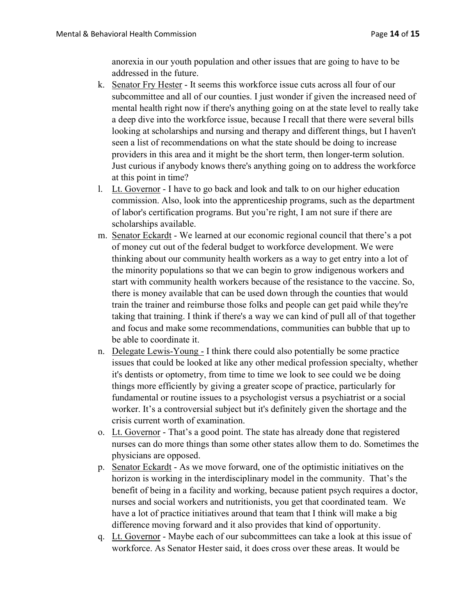anorexia in our youth population and other issues that are going to have to be addressed in the future.

- k. Senator Fry Hester It seems this workforce issue cuts across all four of our subcommittee and all of our counties. I just wonder if given the increased need of mental health right now if there's anything going on at the state level to really take a deep dive into the workforce issue, because I recall that there were several bills looking at scholarships and nursing and therapy and different things, but I haven't seen a list of recommendations on what the state should be doing to increase providers in this area and it might be the short term, then longer-term solution. Just curious if anybody knows there's anything going on to address the workforce at this point in time?
- l. Lt. Governor I have to go back and look and talk to on our higher education commission. Also, look into the apprenticeship programs, such as the department of labor's certification programs. But you're right, I am not sure if there are scholarships available.
- m. Senator Eckardt We learned at our economic regional council that there's a pot of money cut out of the federal budget to workforce development. We were thinking about our community health workers as a way to get entry into a lot of the minority populations so that we can begin to grow indigenous workers and start with community health workers because of the resistance to the vaccine. So, there is money available that can be used down through the counties that would train the trainer and reimburse those folks and people can get paid while they're taking that training. I think if there's a way we can kind of pull all of that together and focus and make some recommendations, communities can bubble that up to be able to coordinate it.
- n. Delegate Lewis-Young I think there could also potentially be some practice issues that could be looked at like any other medical profession specialty, whether it's dentists or optometry, from time to time we look to see could we be doing things more efficiently by giving a greater scope of practice, particularly for fundamental or routine issues to a psychologist versus a psychiatrist or a social worker. It's a controversial subject but it's definitely given the shortage and the crisis current worth of examination.
- o. Lt. Governor That's a good point. The state has already done that registered nurses can do more things than some other states allow them to do. Sometimes the physicians are opposed.
- p. Senator Eckardt As we move forward, one of the optimistic initiatives on the horizon is working in the interdisciplinary model in the community. That's the benefit of being in a facility and working, because patient psych requires a doctor, nurses and social workers and nutritionists, you get that coordinated team. We have a lot of practice initiatives around that team that I think will make a big difference moving forward and it also provides that kind of opportunity.
- q. Lt. Governor Maybe each of our subcommittees can take a look at this issue of workforce. As Senator Hester said, it does cross over these areas. It would be